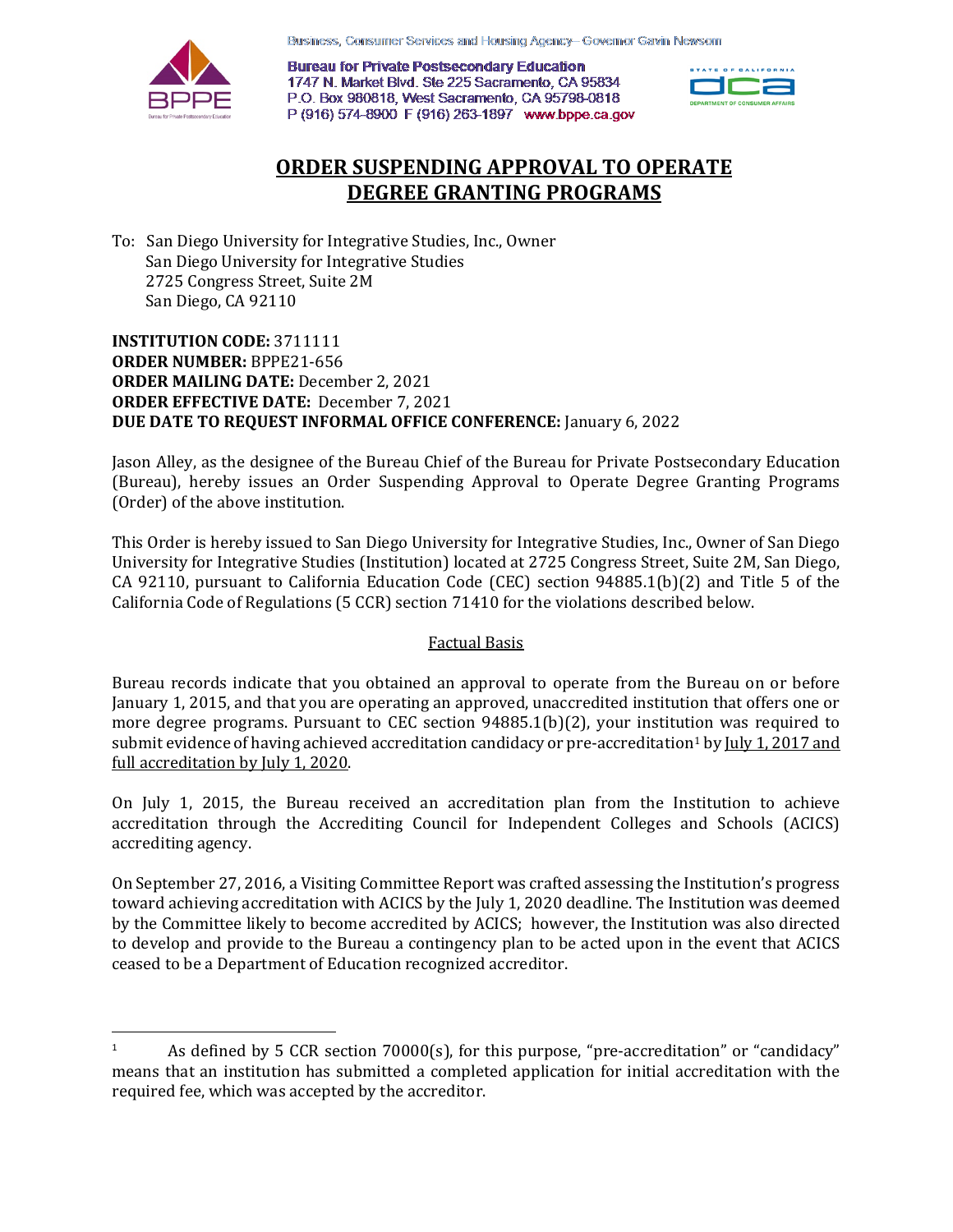Business, Consumer Services and Housing Agency-Governor Gavin Newsom



 $\overline{\phantom{a}}$ 

**Bureau for Private Postsecondary Education** 1747 N. Market Blvd. Ste 225 Sacramento, CA 95834 P.O. Box 980818, West Sacramento, CA 95798-0818 P (916) 574-8900 F (916) 263-1897 www.bppe.ca.gov



# **ORDER SUSPENDING APPROVAL TO OPERATE DEGREE GRANTING PROGRAMS**

 To: San Diego University for Integrative Studies, Inc., Owner San Diego University for Integrative Studies 2725 Congress Street, Suite 2M San Diego, CA 92110

 **INSTITUTION CODE:** 3711111  **ORDER MAILING DATE:** December 2, 2021  **ORDER EFFECTIVE DATE:** December 7, 2021 **ORDER NUMBER:** BPPE21-656 **DUE DATE TO REQUEST INFORMAL OFFICE CONFERENCE:** January 6, 2022

 (Order) of the above institution. Jason Alley, as the designee of the Bureau Chief of the Bureau for Private Postsecondary Education (Bureau), hereby issues an Order Suspending Approval to Operate Degree Granting Programs

 This Order is hereby issued to San Diego University for Integrative Studies, Inc., Owner of San Diego CA 92110, pursuant to California Education Code (CEC) section 94885.1(b)(2) and Title 5 of the California Code of Regulations (5 CCR) section 71410 for the violations described below. University for Integrative Studies (Institution) located at 2725 Congress Street, Suite 2M, San Diego,

### Factual Basis

 Bureau records indicate that you obtained an approval to operate from the Bureau on or before January 1, 2015, and that you are operating an approved, unaccredited institution that offers one or more degree programs. Pursuant to CEC section 94885.1(b)(2), your institution was required to submit evidence of having achieved accreditation candidacy or pre-accreditation  $^1$  $^1$  by <u>July 1, 2017 and</u> full accreditation by July 1, 2020.

On July 1, 2015, the Bureau received an accreditation plan from the Institution to achieve accreditation through the Accrediting Council for Independent Colleges and Schools (ACICS) accrediting agency.

 On September 27, 2016, a Visiting Committee Report was crafted assessing the Institution's progress toward achieving accreditation with ACICS by the July 1, 2020 deadline. The Institution was deemed to develop and provide to the Bureau a contingency plan to be acted upon in the event that ACICS ceased to be a Department of Education recognized accreditor. by the Committee likely to become accredited by ACICS; however, the Institution was also directed

<span id="page-0-0"></span> 1 required fee, which was accepted by the accreditor. As defined by 5 CCR section 70000(s), for this purpose, "pre-accreditation" or "candidacy" means that an institution has submitted a completed application for initial accreditation with the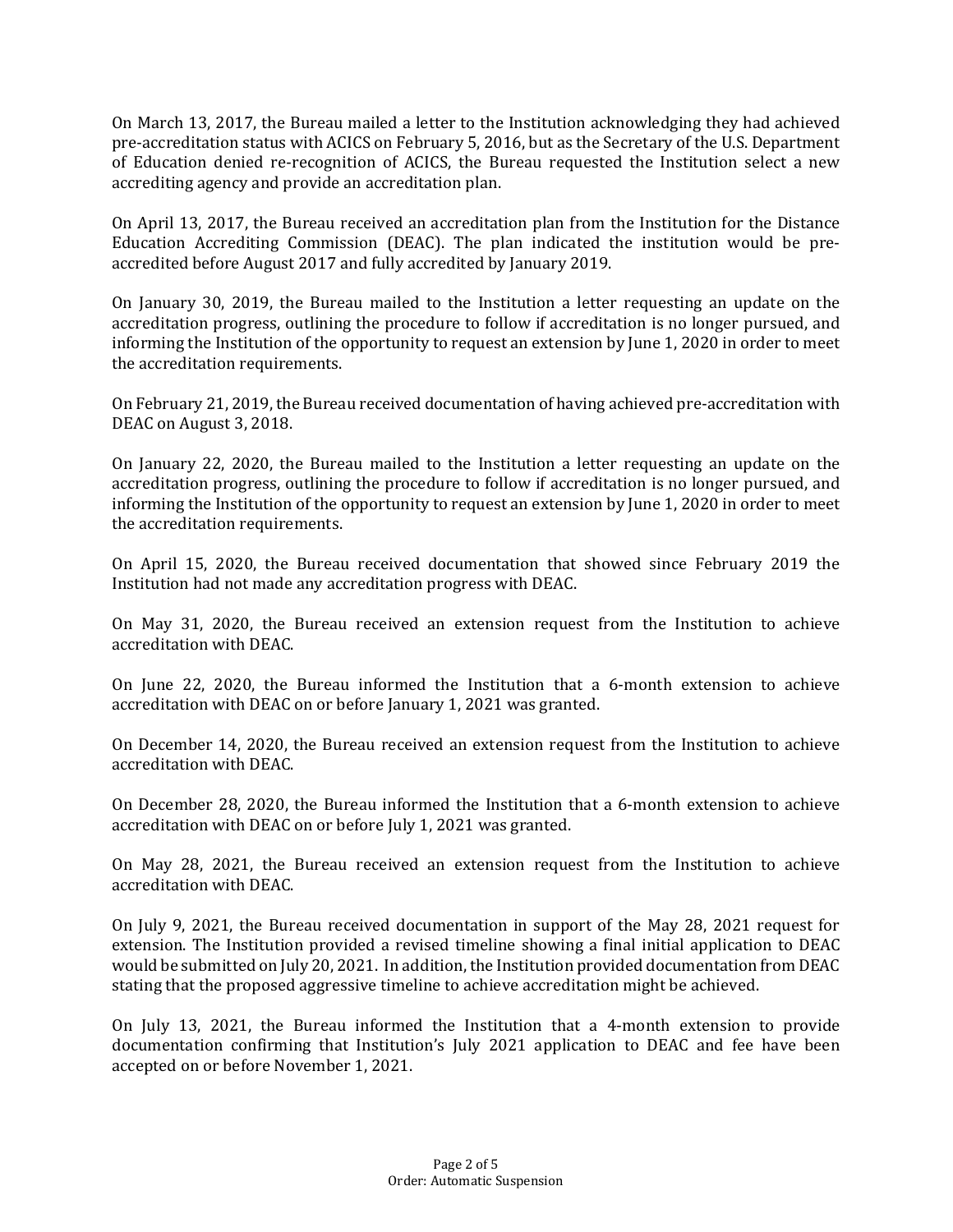of Education denied re-recognition of ACICS, the Bureau requested the Institution select a new accrediting agency and provide an accreditation plan. On March 13, 2017, the Bureau mailed a letter to the Institution acknowledging they had achieved pre-accreditation status with ACICS on February 5, 2016, but as the Secretary of the U.S. Department

 On April 13, 2017, the Bureau received an accreditation plan from the Institution for the Distance accredited before August 2017 and fully accredited by January 2019. Education Accrediting Commission (DEAC). The plan indicated the institution would be pre-

 On January 30, 2019, the Bureau mailed to the Institution a letter requesting an update on the informing the Institution of the opportunity to request an extension by June 1, 2020 in order to meet accreditation progress, outlining the procedure to follow if accreditation is no longer pursued, and the accreditation requirements.

 On February 21, 2019, the Bureau received documentation of having achieved pre-accreditation with DEAC on August 3, 2018.

DEAC on August 3, 2018.<br>On January 22, 2020, the Bureau mailed to the Institution a letter requesting an update on the informing the Institution of the opportunity to request an extension by June 1, 2020 in order to meet accreditation progress, outlining the procedure to follow if accreditation is no longer pursued, and the accreditation requirements.

 Institution had not made any accreditation progress with DEAC. On April 15, 2020, the Bureau received documentation that showed since February 2019 the

On May 31, 2020, the Bureau received an extension request from the Institution to achieve accreditation with DEAC.

 accreditation with DEAC on or before January 1, 2021 was granted. On June 22, 2020, the Bureau informed the Institution that a 6-month extension to achieve

 On December 14, 2020, the Bureau received an extension request from the Institution to achieve accreditation with DEAC.

 accreditation with DEAC on or before July 1, 2021 was granted. On December 28, 2020, the Bureau informed the Institution that a 6-month extension to achieve

On May 28, 2021, the Bureau received an extension request from the Institution to achieve accreditation with DEAC.

 would be submitted on July 20, 2021. In addition, the Institution provided documentation from DEAC stating that the proposed aggressive timeline to achieve accreditation might be achieved. On July 9, 2021, the Bureau received documentation in support of the May 28, 2021 request for extension. The Institution provided a revised timeline showing a final initial application to DEAC

 On July 13, 2021, the Bureau informed the Institution that a 4-month extension to provide documentation confirming that Institution's July 2021 application to DEAC and fee have been accepted on or before November 1, 2021.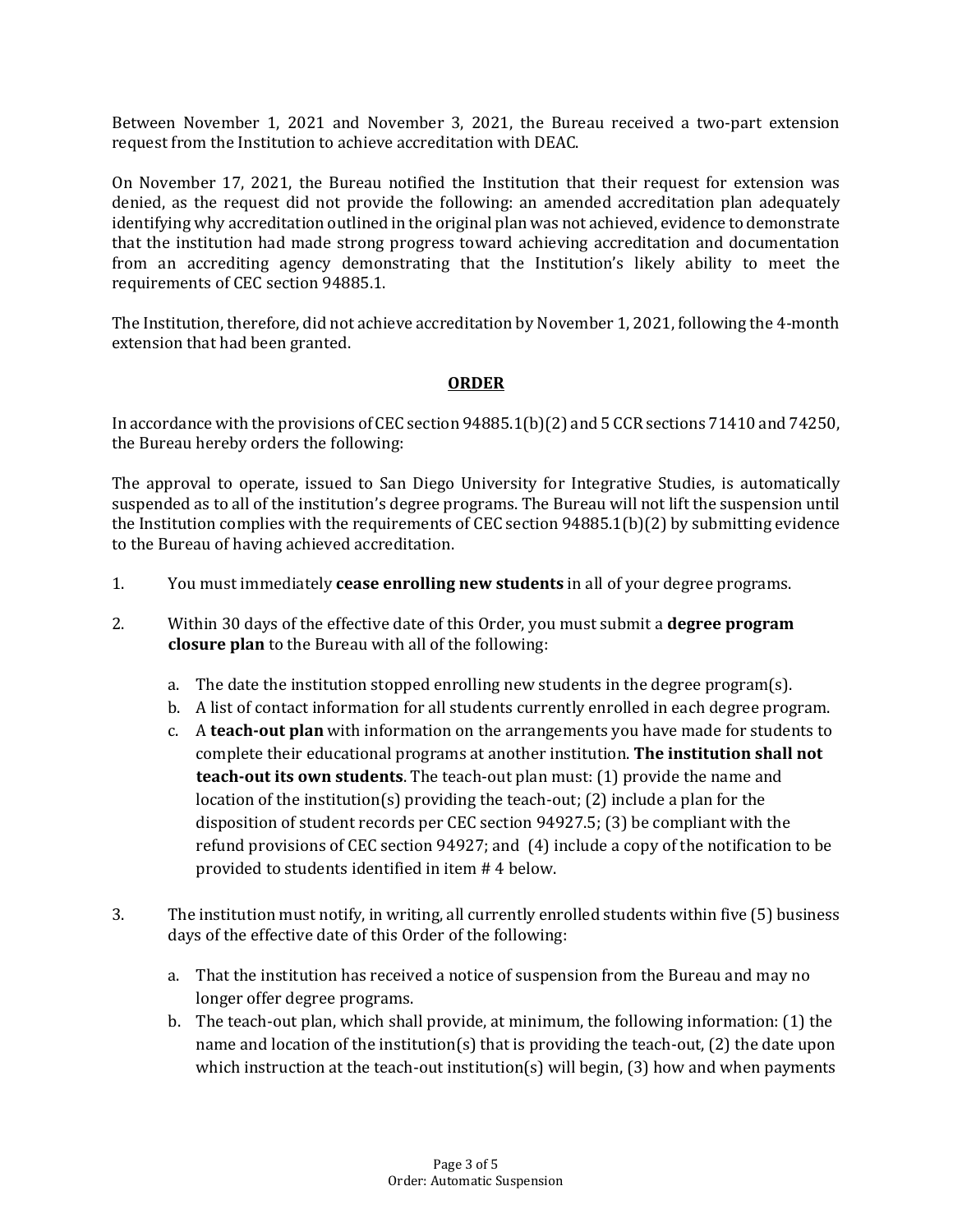request from the Institution to achieve accreditation with DEAC. Between November 1, 2021 and November 3, 2021, the Bureau received a two-part extension

 denied, as the request did not provide the following: an amended accreditation plan adequately from an accrediting agency demonstrating that the Institution's likely ability to meet the requirements of CEC section 94885.1. On November 17, 2021, the Bureau notified the Institution that their request for extension was identifying why accreditation outlined in the original plan was not achieved, evidence to demonstrate that the institution had made strong progress toward achieving accreditation and documentation

 extension that had been granted. The Institution, therefore, did not achieve accreditation by November 1, 2021, following the 4-month

### **ORDER**

 In accordance with the provisions of CEC section 94885.1(b)(2) and 5 CCR sections 71410 and 74250, the Bureau hereby orders the following:

 The approval to operate, issued to San Diego University for Integrative Studies, is automatically suspended as to all of the institution's degree programs. The Bureau will not lift the suspension until to the Bureau of having achieved accreditation. the Institution complies with the requirements of CEC section 94885.1(b)(2) by submitting evidence

- 1. You must immediately **cease enrolling new students** in all of your degree programs.
- 2. Within 30 days of the effective date of this Order, you must submit a **degree program closure plan** to the Bureau with all of the following:
	- a. The date the institution stopped enrolling new students in the degree program(s).
	- b. A list of contact information for all students currently enrolled in each degree program.
	- c. A **teach-out plan** with information on the arrangements you have made for students to complete their educational programs at another institution. **The institution shall not teach-out its own students**. The teach-out plan must: (1) provide the name and location of the institution(s) providing the teach-out; (2) include a plan for the disposition of student records per CEC section 94927.5; (3) be compliant with the refund provisions of CEC section 94927; and (4) include a copy of the notification to be provided to students identified in item # 4 below.
- 3. The institution must notify, in writing, all currently enrolled students within five (5) business days of the effective date of this Order of the following:
	- a. That the institution has received a notice of suspension from the Bureau and may no longer offer degree programs.
	- b. The teach-out plan, which shall provide, at minimum, the following information: (1) the name and location of the institution(s) that is providing the teach-out, (2) the date upon which instruction at the teach-out institution(s) will begin, (3) how and when payments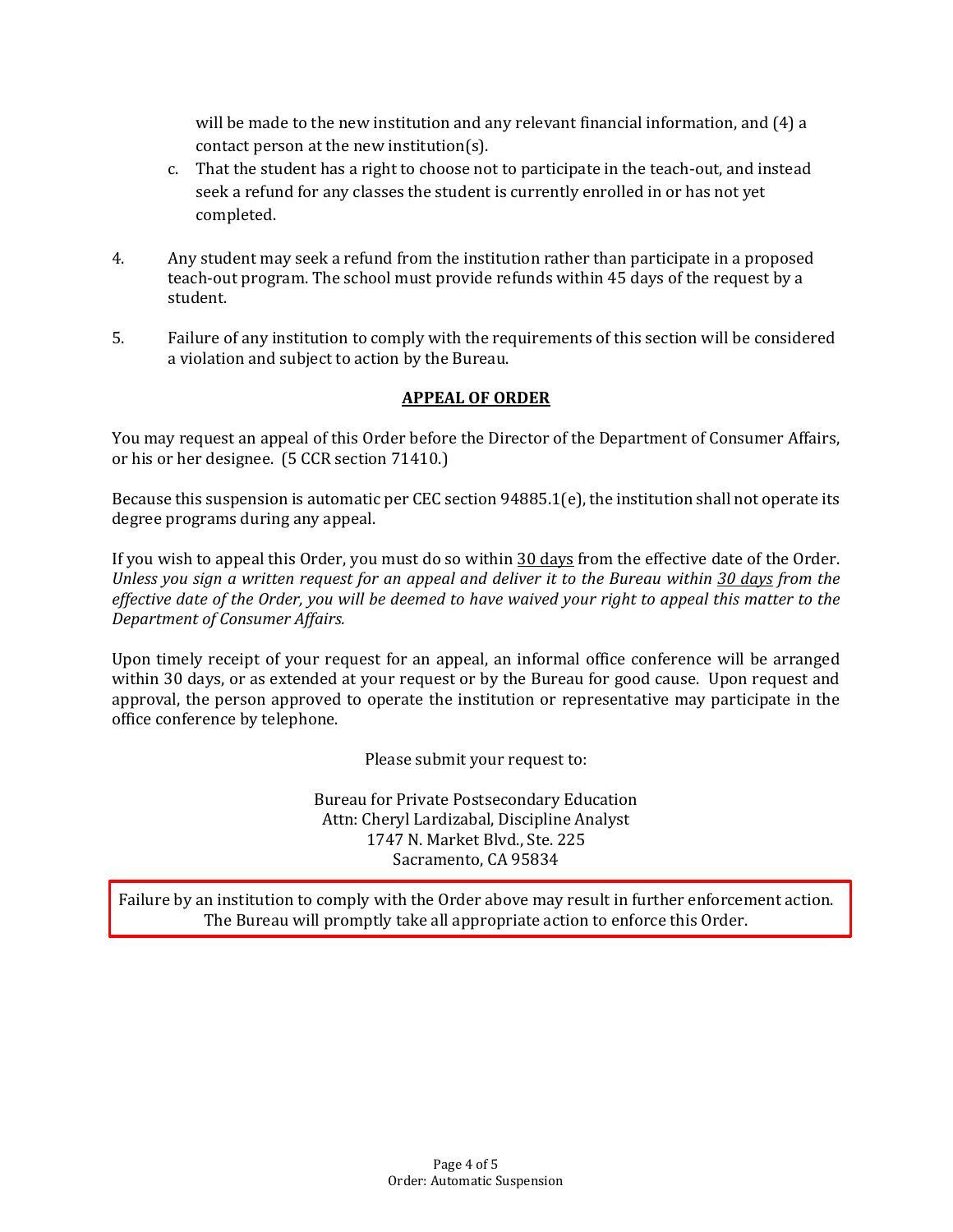will be made to the new institution and any relevant financial information, and (4) a contact person at the new institution(s).

- c. That the student has a right to choose not to participate in the teach-out, and instead seek a refund for any classes the student is currently enrolled in or has not yet completed.
- 4. Any student may seek a refund from the institution rather than participate in a proposed teach-out program. The school must provide refunds within 45 days of the request by a student.
- student. 5. Failure of any institution to comply with the requirements of this section will be considered a violation and subject to action by the Bureau.

## **APPEAL OF ORDER**

 You may request an appeal of this Order before the Director of the Department of Consumer Affairs, or his or her designee. (5 CCR section 71410.)

Because this suspension is automatic per CEC section 94885.1(e), the institution shall not operate its degree programs during any appeal.

If you wish to appeal this Order, you must do so within <u>30 days</u> from the effective date of the Order.  *Unless you sign a written request for an appeal and deliver it to the Bureau within 30 days from the effective date of the Order, you will be deemed to have waived your right to appeal this matter to the Department of Consumer Affairs.* 

 Upon timely receipt of your request for an appeal, an informal office conference will be arranged office conference by telephone. within 30 days, or as extended at your request or by the Bureau for good cause. Upon request and approval, the person approved to operate the institution or representative may participate in the

Please submit your request to:

 Bureau for Private Postsecondary Education Attn: Cheryl Lardizabal, Discipline Analyst 1747 N. Market Blvd., Ste. 225 Sacramento, CA 95834

 Failure by an institution to comply with the Order above may result in further enforcement action. The Bureau will promptly take all appropriate action to enforce this Order.